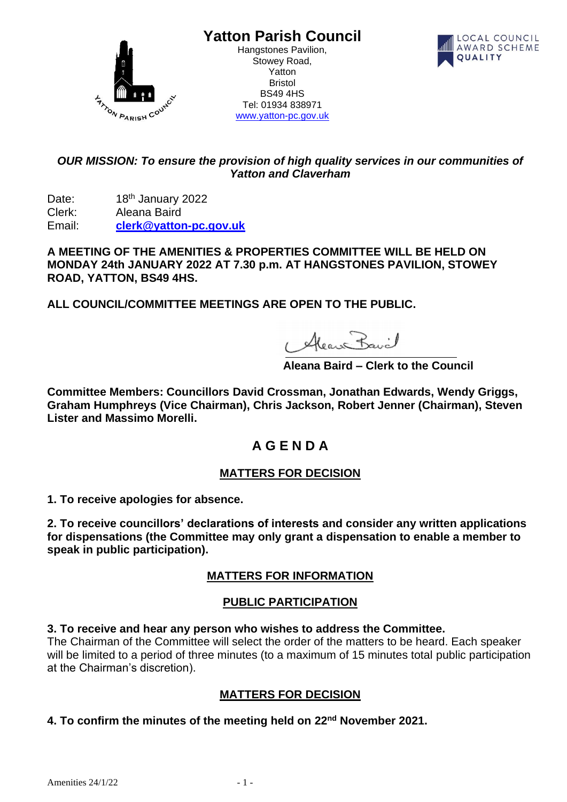

**Yatton Parish Council**

Hangstones Pavilion, Stowey Road, Yatton Bristol BS49 4HS Tel: 01934 838971 [www.yatton-pc.gov.uk](http://www.yatton-pc.gov.uk/)



## *OUR MISSION: To ensure the provision of high quality services in our communities of Yatton and Claverham*

Date: 18<sup>th</sup> January 2022 Clerk: Aleana Baird Email: **[clerk@yatton-pc.gov.uk](mailto:clerk@yatton-pc.gov.uk)**

**A MEETING OF THE AMENITIES & PROPERTIES COMMITTEE WILL BE HELD ON MONDAY 24th JANUARY 2022 AT 7.30 p.m. AT HANGSTONES PAVILION, STOWEY ROAD, YATTON, BS49 4HS.** 

**ALL COUNCIL/COMMITTEE MEETINGS ARE OPEN TO THE PUBLIC.**

1 Alean Bavil

 **Aleana Baird – Clerk to the Council**

**Committee Members: Councillors David Crossman, Jonathan Edwards, Wendy Griggs, Graham Humphreys (Vice Chairman), Chris Jackson, Robert Jenner (Chairman), Steven Lister and Massimo Morelli.**

# **A G E N D A**

# **MATTERS FOR DECISION**

**1. To receive apologies for absence.**

**2. To receive councillors' declarations of interests and consider any written applications for dispensations (the Committee may only grant a dispensation to enable a member to speak in public participation).**

# **MATTERS FOR INFORMATION**

## **PUBLIC PARTICIPATION**

**3. To receive and hear any person who wishes to address the Committee.**

The Chairman of the Committee will select the order of the matters to be heard. Each speaker will be limited to a period of three minutes (to a maximum of 15 minutes total public participation at the Chairman's discretion).

# **MATTERS FOR DECISION**

## **4. To confirm the minutes of the meeting held on 22nd November 2021.**